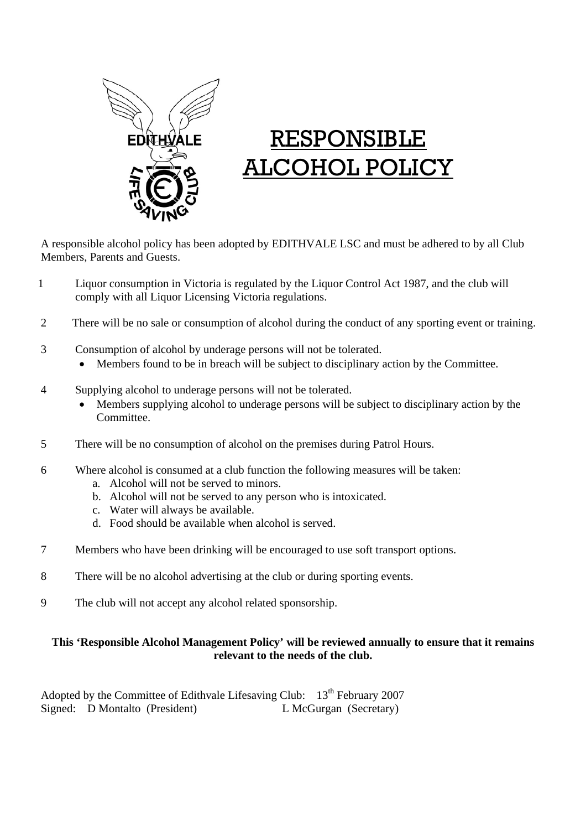

## RESPONSIBLE ALCOHOL POLICY

A responsible alcohol policy has been adopted by EDITHVALE LSC and must be adhered to by all Club Members, Parents and Guests.

- 1 Liquor consumption in Victoria is regulated by the Liquor Control Act 1987, and the club will comply with all Liquor Licensing Victoria regulations.
- 2 There will be no sale or consumption of alcohol during the conduct of any sporting event or training.
- 3 Consumption of alcohol by underage persons will not be tolerated.
	- Members found to be in breach will be subject to disciplinary action by the Committee.
- 4 Supplying alcohol to underage persons will not be tolerated.
	- Members supplying alcohol to underage persons will be subject to disciplinary action by the Committee.
- 5 There will be no consumption of alcohol on the premises during Patrol Hours.
- 6 Where alcohol is consumed at a club function the following measures will be taken:
	- a. Alcohol will not be served to minors.
	- b. Alcohol will not be served to any person who is intoxicated.
	- c. Water will always be available.
	- d. Food should be available when alcohol is served.
- 7 Members who have been drinking will be encouraged to use soft transport options.
- 8 There will be no alcohol advertising at the club or during sporting events.
- 9 The club will not accept any alcohol related sponsorship.

## **This 'Responsible Alcohol Management Policy' will be reviewed annually to ensure that it remains relevant to the needs of the club.**

Adopted by the Committee of Edithvale Lifesaving Club:  $13<sup>th</sup>$  February 2007 Signed: D Montalto (President) L McGurgan (Secretary)